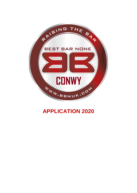

# **APPLICATION 2020**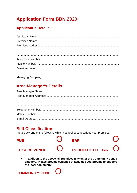### **Application Form BBN 2020**

#### **Applicant's Details**

### **Area Manager's Details**

#### **Self Classification**

Please tick one of the following which you feel best describes your premises:

**PUB BAR**  $\bigcap$ **PUBLIC HOTEL BAR LEISURE VENUE** 

In addition to the above, all premises may enter the Community Venue  $\bullet$ category. Please provide evidence of activities you provide to support the local community.